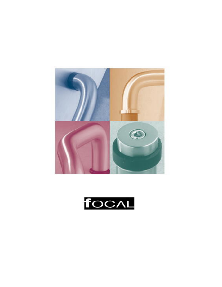

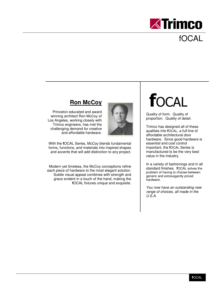

## fOCAL

#### **Ron McCoy**

Princeton educated and award winning architect Ron McCoy of Los Angeles, working closely with Trimco engineers, has met the challenging demand for creative and affordable hardware.



With the **f**OCAL Series, McCoy blends fundamental forms, functions, and materials into inspired shapes and accents that will add distinction to any project.

Modern yet timeless, the McCoy conceptions refine each piece of hardware to the most elegant solution. Subtle visual appeal combines with strength and grace evident in a touch of the hand, making the **f**OCAL fixtures unique and exquisite.

# **focal**

Quality of form. Quality of proportion. Quality of detail.

Trimco has designed all of these qualities into **f**OCAL, a full line of affordable architectural door hardware. Since good hardware is essential and cost control important, the **f**OCAL Series is manufactured to be the very best value in the industry.

In a variety of fashionings and in all standard finishes. **f**OCAL solves the problem of having to choose between generic and extravagantly priced hardware.

You now have an outstanding new range of choices, all made in the U.S.A.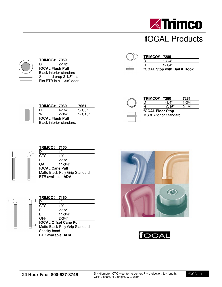

## **f**OCAL Products



| <b>TRIMCO# 7059</b>            |  |
|--------------------------------|--|
| $2 - 1/2"$                     |  |
| <b>fOCAL Flush Pull</b>        |  |
| <b>Black interior standard</b> |  |
| Standard prep 2-1/8" dia.      |  |
| Fits BTB in a 1-3/8" door.     |  |

**TRIMCO# 7060 7061**   $\frac{H}{W}$  4-1/4" 3-1/8"<br>  $\frac{4-1}{4}$  2-3/4" 2-1/16

**fOCAL Flush Pull**

| <b>TRIMCO# 7285</b> |                             |
|---------------------|-----------------------------|
|                     | $1 - 3/4"$                  |
|                     | $2 - 1/4"$                  |
|                     | fOCAL Stop with Bail & Hook |

| TRIMCO# 7280            |             | 7281       |
|-------------------------|-------------|------------|
|                         | $1 - 1/4"$  |            |
|                         | $1 - 9/16"$ | $2 - 1/4"$ |
| <b>fOCAL Floor Stop</b> |             |            |
| MS & Anchor Standard    |             |            |



| <b>TRIMCO# 7150</b>             |                                |
|---------------------------------|--------------------------------|
|                                 | ,,                             |
| CTC                             | 10"                            |
|                                 | $2 - 1/2"$                     |
| OΑ                              | $11 - 3/4"$                    |
| <b>fOCAL Cane Pull</b>          |                                |
|                                 | Matte Black Poly Grip Standard |
| <b>BTB</b> available <b>ADA</b> |                                |



| <b>TRIMCO# 7160</b>             |                                |
|---------------------------------|--------------------------------|
|                                 | ,,                             |
| CTC                             | 10"                            |
|                                 | $2 - 1/2"$                     |
|                                 | $11 - 3/4"$                    |
| OFF                             | $2 - 3/4"$                     |
|                                 | <b>fOCAL Offset Cane Pull</b>  |
|                                 | Matte Black Poly Grip Standard |
| Specify hand                    |                                |
| <b>BTB</b> available <b>ADA</b> |                                |





| Black interior standard. |  |  |  |  |
|--------------------------|--|--|--|--|
|                          |  |  |  |  |
|                          |  |  |  |  |
|                          |  |  |  |  |

 $2 - 1/16"$